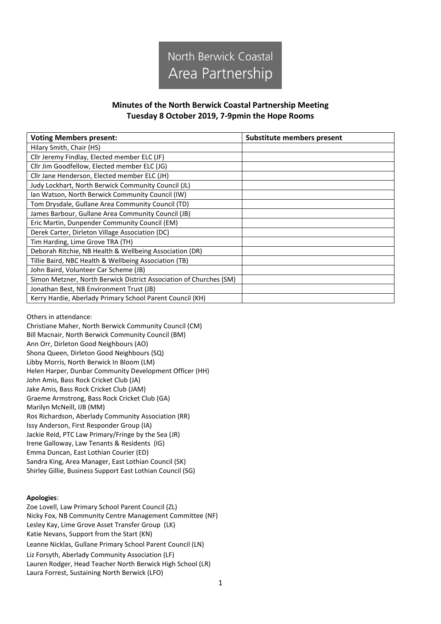

## **Minutes of the North Berwick Coastal Partnership Meeting Tuesday 8 October 2019, 7-9pmin the Hope Rooms**

| <b>Voting Members present:</b>                                     | Substitute members present |
|--------------------------------------------------------------------|----------------------------|
| Hilary Smith, Chair (HS)                                           |                            |
| Cllr Jeremy Findlay, Elected member ELC (JF)                       |                            |
| Cllr Jim Goodfellow, Elected member ELC (JG)                       |                            |
| Cllr Jane Henderson, Elected member ELC (JH)                       |                            |
| Judy Lockhart, North Berwick Community Council (JL)                |                            |
| Ian Watson, North Berwick Community Council (IW)                   |                            |
| Tom Drysdale, Gullane Area Community Council (TD)                  |                            |
| James Barbour, Gullane Area Community Council (JB)                 |                            |
| Eric Martin, Dunpender Community Council (EM)                      |                            |
| Derek Carter, Dirleton Village Association (DC)                    |                            |
| Tim Harding, Lime Grove TRA (TH)                                   |                            |
| Deborah Ritchie, NB Health & Wellbeing Association (DR)            |                            |
| Tillie Baird, NBC Health & Wellbeing Association (TB)              |                            |
| John Baird, Volunteer Car Scheme (JB)                              |                            |
| Simon Metzner, North Berwick District Association of Churches (SM) |                            |
| Jonathan Best, NB Environment Trust (JB)                           |                            |
| Kerry Hardie, Aberlady Primary School Parent Council (KH)          |                            |

Others in attendance:

Christiane Maher, North Berwick Community Council (CM) Bill Macnair, North Berwick Community Council (BM) Ann Orr, Dirleton Good Neighbours (AO) Shona Queen, Dirleton Good Neighbours (SQ) Libby Morris, North Berwick In Bloom (LM) Helen Harper, Dunbar Community Development Officer (HH) John Amis, Bass Rock Cricket Club (JA) Jake Amis, Bass Rock Cricket Club (JAM) Graeme Armstrong, Bass Rock Cricket Club (GA) Marilyn McNeill, IJB (MM) Ros Richardson, Aberlady Community Association (RR) Issy Anderson, First Responder Group (IA) Jackie Reid, PTC Law Primary/Fringe by the Sea (JR) Irene Galloway, Law Tenants & Residents (IG) Emma Duncan, East Lothian Courier (ED) Sandra King, Area Manager, East Lothian Council (SK) Shirley Gillie, Business Support East Lothian Council (SG)

## **Apologies**:

Zoe Lovell, Law Primary School Parent Council (ZL) Nicky Fox, NB Community Centre Management Committee (NF) Lesley Kay, Lime Grove Asset Transfer Group (LK) Katie Nevans, Support from the Start (KN) Leanne Nicklas, Gullane Primary School Parent Council (LN) Liz Forsyth, Aberlady Community Association (LF) Lauren Rodger, Head Teacher North Berwick High School (LR) Laura Forrest, Sustaining North Berwick (LFO)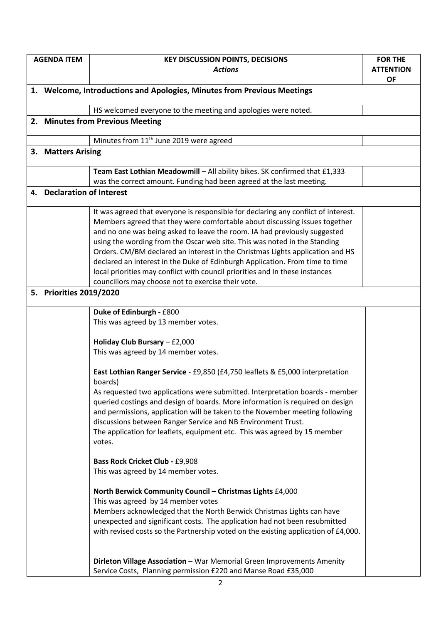| <b>AGENDA ITEM</b>                                                      | <b>KEY DISCUSSION POINTS, DECISIONS</b>                                                  | <b>FOR THE</b>   |  |
|-------------------------------------------------------------------------|------------------------------------------------------------------------------------------|------------------|--|
|                                                                         | <b>Actions</b>                                                                           | <b>ATTENTION</b> |  |
|                                                                         |                                                                                          | <b>OF</b>        |  |
| 1. Welcome, Introductions and Apologies, Minutes from Previous Meetings |                                                                                          |                  |  |
|                                                                         | HS welcomed everyone to the meeting and apologies were noted.                            |                  |  |
|                                                                         | 2. Minutes from Previous Meeting                                                         |                  |  |
|                                                                         | Minutes from 11 <sup>th</sup> June 2019 were agreed                                      |                  |  |
| 3. Matters Arising                                                      |                                                                                          |                  |  |
|                                                                         |                                                                                          |                  |  |
|                                                                         | Team East Lothian Meadowmill - All ability bikes. SK confirmed that £1,333               |                  |  |
|                                                                         | was the correct amount. Funding had been agreed at the last meeting.                     |                  |  |
| 4. Declaration of Interest                                              |                                                                                          |                  |  |
|                                                                         | It was agreed that everyone is responsible for declaring any conflict of interest.       |                  |  |
|                                                                         | Members agreed that they were comfortable about discussing issues together               |                  |  |
|                                                                         | and no one was being asked to leave the room. IA had previously suggested                |                  |  |
|                                                                         | using the wording from the Oscar web site. This was noted in the Standing                |                  |  |
|                                                                         | Orders. CM/BM declared an interest in the Christmas Lights application and HS            |                  |  |
|                                                                         | declared an interest in the Duke of Edinburgh Application. From time to time             |                  |  |
|                                                                         | local priorities may conflict with council priorities and In these instances             |                  |  |
|                                                                         | councillors may choose not to exercise their vote.                                       |                  |  |
| 5. Priorities 2019/2020                                                 |                                                                                          |                  |  |
|                                                                         | Duke of Edinburgh - £800                                                                 |                  |  |
|                                                                         | This was agreed by 13 member votes.                                                      |                  |  |
|                                                                         | Holiday Club Bursary $- f2,000$                                                          |                  |  |
|                                                                         | This was agreed by 14 member votes.                                                      |                  |  |
|                                                                         |                                                                                          |                  |  |
|                                                                         | East Lothian Ranger Service - £9,850 (£4,750 leaflets & £5,000 interpretation<br>boards) |                  |  |
|                                                                         | As requested two applications were submitted. Interpretation boards - member             |                  |  |
|                                                                         | queried costings and design of boards. More information is required on design            |                  |  |
|                                                                         | and permissions, application will be taken to the November meeting following             |                  |  |
|                                                                         | discussions between Ranger Service and NB Environment Trust.                             |                  |  |
|                                                                         | The application for leaflets, equipment etc. This was agreed by 15 member                |                  |  |
|                                                                         | votes.                                                                                   |                  |  |
|                                                                         | <b>Bass Rock Cricket Club - £9,908</b>                                                   |                  |  |
|                                                                         | This was agreed by 14 member votes.                                                      |                  |  |
|                                                                         | North Berwick Community Council - Christmas Lights £4,000                                |                  |  |
|                                                                         | This was agreed by 14 member votes                                                       |                  |  |
|                                                                         | Members acknowledged that the North Berwick Christmas Lights can have                    |                  |  |
|                                                                         | unexpected and significant costs. The application had not been resubmitted               |                  |  |
|                                                                         | with revised costs so the Partnership voted on the existing application of £4,000.       |                  |  |
|                                                                         |                                                                                          |                  |  |
|                                                                         |                                                                                          |                  |  |
|                                                                         | Dirleton Village Association - War Memorial Green Improvements Amenity                   |                  |  |
|                                                                         | Service Costs, Planning permission £220 and Manse Road £35,000                           |                  |  |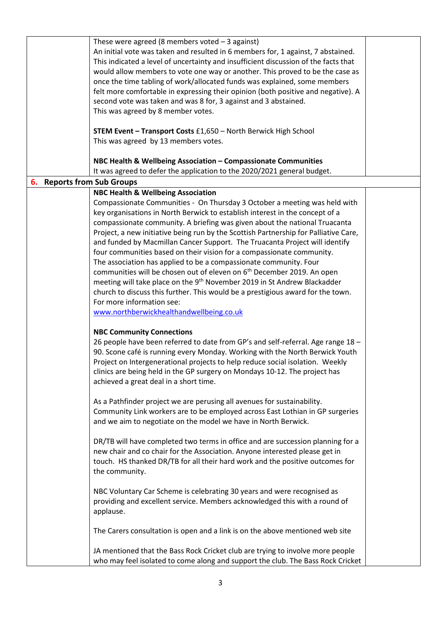|                                   | These were agreed (8 members voted $-3$ against)                                     |  |  |  |
|-----------------------------------|--------------------------------------------------------------------------------------|--|--|--|
|                                   | An initial vote was taken and resulted in 6 members for, 1 against, 7 abstained.     |  |  |  |
|                                   | This indicated a level of uncertainty and insufficient discussion of the facts that  |  |  |  |
|                                   | would allow members to vote one way or another. This proved to be the case as        |  |  |  |
|                                   | once the time tabling of work/allocated funds was explained, some members            |  |  |  |
|                                   | felt more comfortable in expressing their opinion (both positive and negative). A    |  |  |  |
|                                   | second vote was taken and was 8 for, 3 against and 3 abstained.                      |  |  |  |
|                                   | This was agreed by 8 member votes.                                                   |  |  |  |
|                                   |                                                                                      |  |  |  |
|                                   | <b>STEM Event - Transport Costs £1,650 - North Berwick High School</b>               |  |  |  |
|                                   | This was agreed by 13 members votes.                                                 |  |  |  |
|                                   |                                                                                      |  |  |  |
|                                   | NBC Health & Wellbeing Association - Compassionate Communities                       |  |  |  |
|                                   | It was agreed to defer the application to the 2020/2021 general budget.              |  |  |  |
| <b>6.</b> Reports from Sub Groups |                                                                                      |  |  |  |
|                                   | <b>NBC Health &amp; Wellbeing Association</b>                                        |  |  |  |
|                                   | Compassionate Communities - On Thursday 3 October a meeting was held with            |  |  |  |
|                                   | key organisations in North Berwick to establish interest in the concept of a         |  |  |  |
|                                   | compassionate community. A briefing was given about the national Truacanta           |  |  |  |
|                                   | Project, a new initiative being run by the Scottish Partnership for Palliative Care, |  |  |  |
|                                   | and funded by Macmillan Cancer Support. The Truacanta Project will identify          |  |  |  |
|                                   | four communities based on their vision for a compassionate community.                |  |  |  |
|                                   | The association has applied to be a compassionate community. Four                    |  |  |  |
|                                   | communities will be chosen out of eleven on 6 <sup>th</sup> December 2019. An open   |  |  |  |
|                                   | meeting will take place on the 9 <sup>th</sup> November 2019 in St Andrew Blackadder |  |  |  |
|                                   | church to discuss this further. This would be a prestigious award for the town.      |  |  |  |
|                                   | For more information see:                                                            |  |  |  |
|                                   |                                                                                      |  |  |  |
|                                   | www.northberwickhealthandwellbeing.co.uk                                             |  |  |  |
|                                   | <b>NBC Community Connections</b>                                                     |  |  |  |
|                                   | 26 people have been referred to date from GP's and self-referral. Age range 18 -     |  |  |  |
|                                   | 90. Scone café is running every Monday. Working with the North Berwick Youth         |  |  |  |
|                                   |                                                                                      |  |  |  |
|                                   | Project on Intergenerational projects to help reduce social isolation. Weekly        |  |  |  |
|                                   | clinics are being held in the GP surgery on Mondays 10-12. The project has           |  |  |  |
|                                   | achieved a great deal in a short time.                                               |  |  |  |
|                                   |                                                                                      |  |  |  |
|                                   | As a Pathfinder project we are perusing all avenues for sustainability.              |  |  |  |
|                                   | Community Link workers are to be employed across East Lothian in GP surgeries        |  |  |  |
|                                   | and we aim to negotiate on the model we have in North Berwick.                       |  |  |  |
|                                   |                                                                                      |  |  |  |
|                                   | DR/TB will have completed two terms in office and are succession planning for a      |  |  |  |
|                                   | new chair and co chair for the Association. Anyone interested please get in          |  |  |  |
|                                   | touch. HS thanked DR/TB for all their hard work and the positive outcomes for        |  |  |  |
|                                   | the community.                                                                       |  |  |  |
|                                   |                                                                                      |  |  |  |
|                                   | NBC Voluntary Car Scheme is celebrating 30 years and were recognised as              |  |  |  |
|                                   | providing and excellent service. Members acknowledged this with a round of           |  |  |  |
|                                   | applause.                                                                            |  |  |  |
|                                   |                                                                                      |  |  |  |
|                                   | The Carers consultation is open and a link is on the above mentioned web site        |  |  |  |
|                                   |                                                                                      |  |  |  |
|                                   | JA mentioned that the Bass Rock Cricket club are trying to involve more people       |  |  |  |
|                                   | who may feel isolated to come along and support the club. The Bass Rock Cricket      |  |  |  |